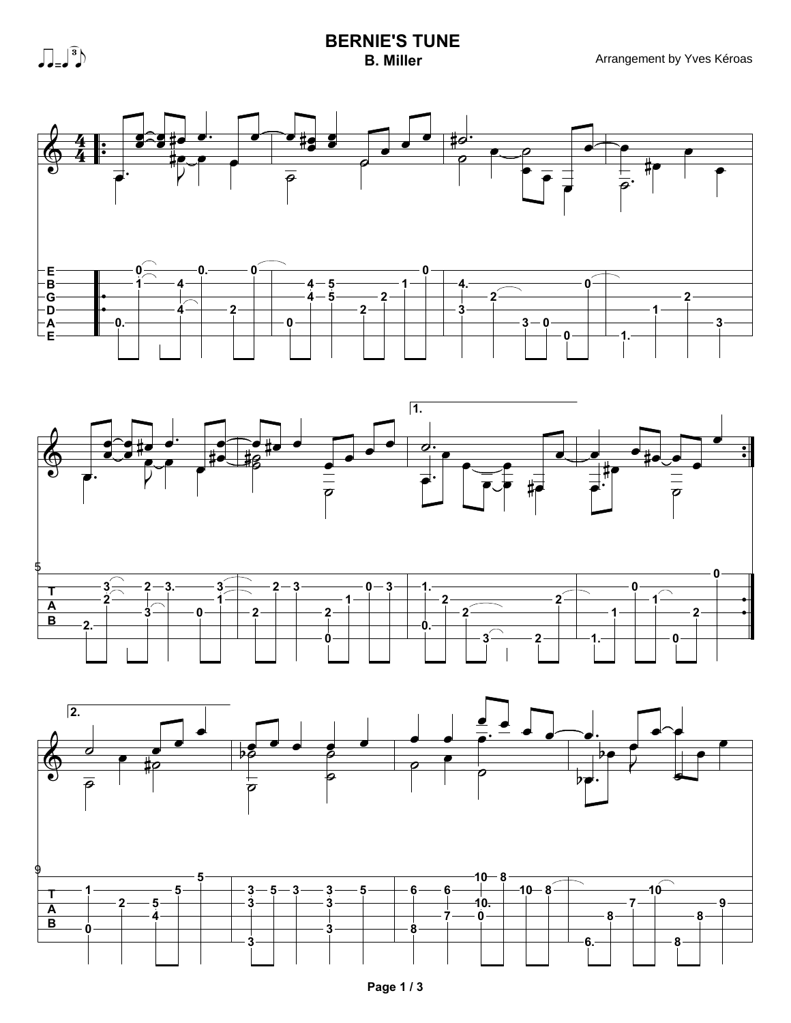## $\int_{-\infty}^{\infty}$ <sup>3</sup> BERNIE'S TUNE **BERNIE'S** TUNE





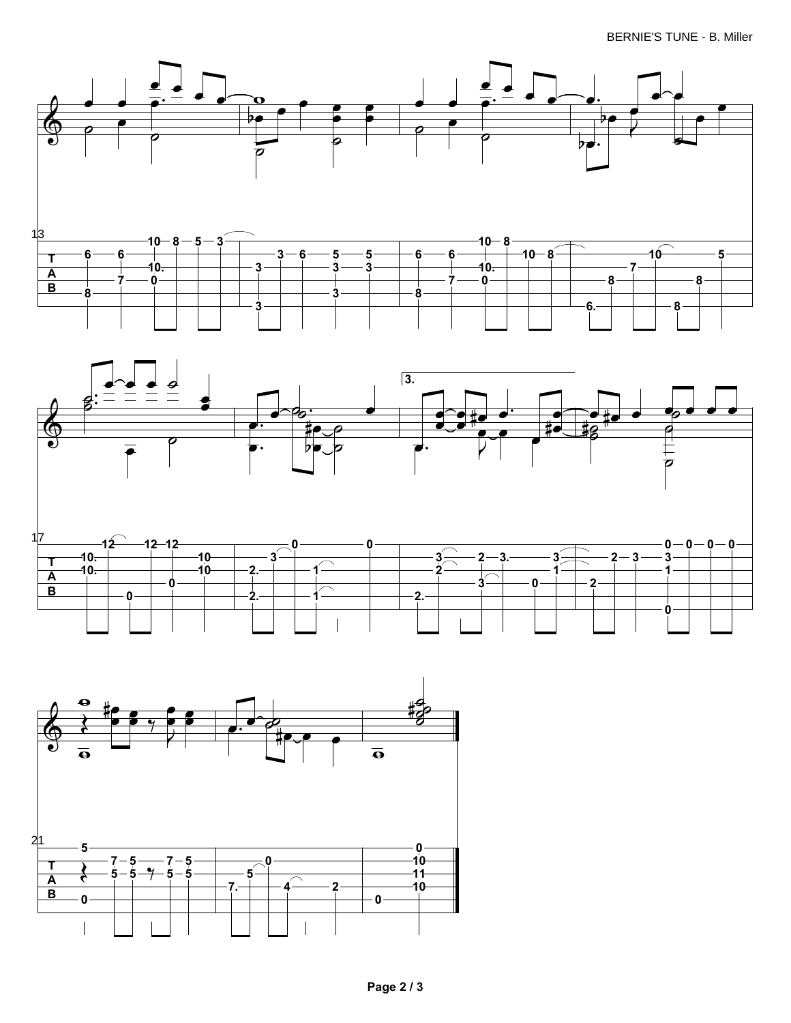